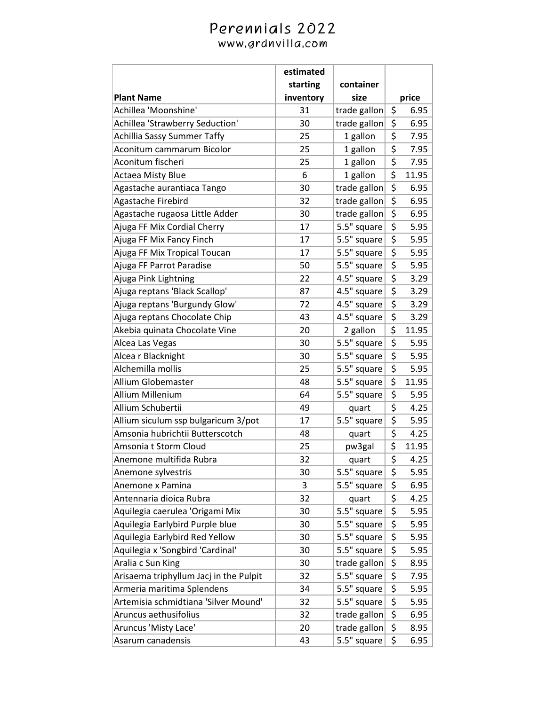|                                        | estimated |              |                                     |       |
|----------------------------------------|-----------|--------------|-------------------------------------|-------|
|                                        | starting  | container    |                                     |       |
| <b>Plant Name</b>                      | inventory | size         |                                     | price |
| Achillea 'Moonshine'                   | 31        | trade gallon | \$                                  | 6.95  |
| Achillea 'Strawberry Seduction'        | 30        | trade gallon | \$                                  | 6.95  |
| <b>Achillia Sassy Summer Taffy</b>     | 25        | 1 gallon     | \$                                  | 7.95  |
| Aconitum cammarum Bicolor              | 25        | 1 gallon     | \$                                  | 7.95  |
| Aconitum fischeri                      | 25        | 1 gallon     | \$                                  | 7.95  |
| <b>Actaea Misty Blue</b>               | 6         | 1 gallon     | $\overline{\boldsymbol{\varsigma}}$ | 11.95 |
| Agastache aurantiaca Tango             | 30        | trade gallon | \$                                  | 6.95  |
| Agastache Firebird                     | 32        | trade gallon | \$                                  | 6.95  |
| Agastache rugaosa Little Adder         | 30        | trade gallon | \$                                  | 6.95  |
| Ajuga FF Mix Cordial Cherry            | 17        | 5.5" square  | \$                                  | 5.95  |
| Ajuga FF Mix Fancy Finch               | 17        | 5.5" square  | \$                                  | 5.95  |
| Ajuga FF Mix Tropical Toucan           | 17        | 5.5" square  | $\overline{\boldsymbol{\zeta}}$     | 5.95  |
| Ajuga FF Parrot Paradise               | 50        | 5.5" square  | $\overline{\boldsymbol{\zeta}}$     | 5.95  |
| Ajuga Pink Lightning                   | 22        | 4.5" square  | $\overline{\boldsymbol{\zeta}}$     | 3.29  |
| Ajuga reptans 'Black Scallop'          | 87        | 4.5" square  | \$                                  | 3.29  |
| Ajuga reptans 'Burgundy Glow'          | 72        | 4.5" square  | $\overline{\boldsymbol{\zeta}}$     | 3.29  |
| Ajuga reptans Chocolate Chip           | 43        | 4.5" square  | \$                                  | 3.29  |
| Akebia quinata Chocolate Vine          | 20        | 2 gallon     | $\overline{\boldsymbol{\zeta}}$     | 11.95 |
| Alcea Las Vegas                        | 30        | 5.5" square  | \$                                  | 5.95  |
| Alcea r Blacknight                     | 30        | 5.5" square  | \$                                  | 5.95  |
| Alchemilla mollis                      | 25        | 5.5" square  | \$                                  | 5.95  |
| <b>Allium Globemaster</b>              | 48        | 5.5" square  | \$                                  | 11.95 |
| <b>Allium Millenium</b>                | 64        | 5.5" square  | \$                                  | 5.95  |
| Allium Schubertii                      | 49        | quart        | \$                                  | 4.25  |
| Allium siculum ssp bulgaricum 3/pot    | 17        | 5.5" square  | $\overline{\xi}$                    | 5.95  |
| Amsonia hubrichtii Butterscotch        | 48        | quart        | \$                                  | 4.25  |
| Amsonia t Storm Cloud                  | 25        | pw3gal       | \$                                  | 11.95 |
| Anemone multifida Rubra                | 32        | quart        | $\overline{\mathsf{s}}$             | 4.25  |
| Anemone sylvestris                     | 30        | 5.5" square  | \$                                  | 5.95  |
| Anemone x Pamina                       | 3         | 5.5" square  | \$                                  | 6.95  |
| Antennaria dioica Rubra                | 32        | quart        | \$                                  | 4.25  |
| Aquilegia caerulea 'Origami Mix        | 30        | 5.5" square  | \$                                  | 5.95  |
| Aquilegia Earlybird Purple blue        | 30        | 5.5" square  | $\overline{\boldsymbol{\zeta}}$     | 5.95  |
| Aquilegia Earlybird Red Yellow         | 30        | 5.5" square  | \$                                  | 5.95  |
| Aquilegia x 'Songbird 'Cardinal'       | 30        | 5.5" square  | $\overline{\boldsymbol{\varsigma}}$ | 5.95  |
| Aralia c Sun King                      | 30        | trade gallon | \$                                  | 8.95  |
| Arisaema triphyllum Jacj in the Pulpit | 32        | 5.5" square  | $\overline{\boldsymbol{\zeta}}$     | 7.95  |
| Armeria maritima Splendens             | 34        | 5.5" square  | $\overline{\boldsymbol{\zeta}}$     | 5.95  |
| Artemisia schmidtiana 'Silver Mound'   | 32        | 5.5" square  | \$                                  | 5.95  |
| Aruncus aethusifolius                  | 32        | trade gallon | \$                                  | 6.95  |
| Aruncus 'Misty Lace'                   | 20        | trade gallon | \$                                  | 8.95  |
| Asarum canadensis                      | 43        | 5.5" square  | \$                                  | 6.95  |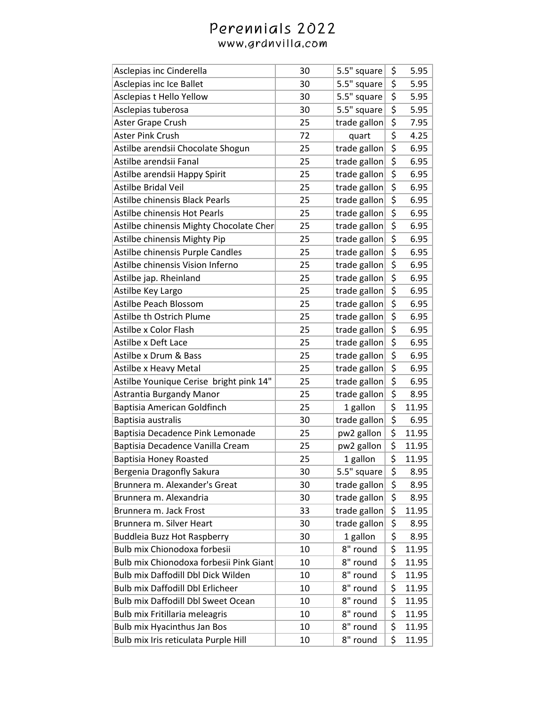| Asclepias inc Cinderella                | 30 | 5.5" square  | \$                                  | 5.95  |
|-----------------------------------------|----|--------------|-------------------------------------|-------|
| Asclepias inc Ice Ballet                | 30 | 5.5" square  | \$                                  | 5.95  |
| Asclepias t Hello Yellow                | 30 | 5.5" square  | \$                                  | 5.95  |
| Asclepias tuberosa                      | 30 | 5.5" square  | \$                                  | 5.95  |
| Aster Grape Crush                       | 25 | trade gallon | $\overline{\boldsymbol{\varsigma}}$ | 7.95  |
| <b>Aster Pink Crush</b>                 | 72 | quart        | \$                                  | 4.25  |
| Astilbe arendsii Chocolate Shogun       | 25 | trade gallon | \$                                  | 6.95  |
| Astilbe arendsii Fanal                  | 25 | trade gallon | \$                                  | 6.95  |
| Astilbe arendsii Happy Spirit           | 25 | trade gallon | \$                                  | 6.95  |
| Astilbe Bridal Veil                     | 25 | trade gallon | \$                                  | 6.95  |
| <b>Astilbe chinensis Black Pearls</b>   | 25 | trade gallon | \$                                  | 6.95  |
| Astilbe chinensis Hot Pearls            | 25 | trade gallon | \$                                  | 6.95  |
| Astilbe chinensis Mighty Chocolate Cher | 25 | trade gallon | \$                                  | 6.95  |
| Astilbe chinensis Mighty Pip            | 25 | trade gallon | \$                                  | 6.95  |
| Astilbe chinensis Purple Candles        | 25 | trade gallon | \$                                  | 6.95  |
| Astilbe chinensis Vision Inferno        | 25 | trade gallon | \$                                  | 6.95  |
| Astilbe jap. Rheinland                  | 25 | trade gallon | \$                                  | 6.95  |
| Astilbe Key Largo                       | 25 | trade gallon | \$                                  | 6.95  |
| Astilbe Peach Blossom                   | 25 | trade gallon | \$                                  | 6.95  |
| Astilbe th Ostrich Plume                | 25 | trade gallon | \$                                  | 6.95  |
| Astilbe x Color Flash                   | 25 | trade gallon | \$                                  | 6.95  |
| Astilbe x Deft Lace                     | 25 | trade gallon | \$                                  | 6.95  |
| Astilbe x Drum & Bass                   | 25 | trade gallon | \$                                  | 6.95  |
| Astilbe x Heavy Metal                   | 25 | trade gallon | \$                                  | 6.95  |
| Astilbe Younique Cerise bright pink 14" | 25 | trade gallon | \$                                  | 6.95  |
| Astrantia Burgandy Manor                | 25 | trade gallon | \$                                  | 8.95  |
| Baptisia American Goldfinch             | 25 | 1 gallon     | \$                                  | 11.95 |
| Baptisia australis                      | 30 | trade gallon | \$                                  | 6.95  |
| Baptisia Decadence Pink Lemonade        | 25 | pw2 gallon   | \$                                  | 11.95 |
| Baptisia Decadence Vanilla Cream        | 25 | pw2 gallon   | \$                                  | 11.95 |
| <b>Baptisia Honey Roasted</b>           | 25 | 1 gallon     | $\overline{\boldsymbol{\varsigma}}$ | 11.95 |
| Bergenia Dragonfly Sakura               | 30 | 5.5" square  | \$                                  | 8.95  |
| Brunnera m. Alexander's Great           | 30 | trade gallon | \$                                  | 8.95  |
| Brunnera m. Alexandria                  | 30 | trade gallon | \$                                  | 8.95  |
| Brunnera m. Jack Frost                  | 33 | trade gallon | \$                                  | 11.95 |
| Brunnera m. Silver Heart                | 30 | trade gallon | \$                                  | 8.95  |
| <b>Buddleia Buzz Hot Raspberry</b>      | 30 | 1 gallon     | \$                                  | 8.95  |
| Bulb mix Chionodoxa forbesii            | 10 | 8" round     | $\overline{\boldsymbol{\zeta}}$     | 11.95 |
| Bulb mix Chionodoxa forbesii Pink Giant | 10 | 8" round     | \$                                  | 11.95 |
| Bulb mix Daffodill Dbl Dick Wilden      | 10 | 8" round     | \$                                  | 11.95 |
| Bulb mix Daffodill Dbl Erlicheer        | 10 | 8" round     | \$                                  | 11.95 |
| Bulb mix Daffodill Dbl Sweet Ocean      | 10 | 8" round     | \$                                  | 11.95 |
| Bulb mix Fritillaria meleagris          | 10 | 8" round     | \$                                  | 11.95 |
| <b>Bulb mix Hyacinthus Jan Bos</b>      | 10 | 8" round     | \$                                  | 11.95 |
| Bulb mix Iris reticulata Purple Hill    | 10 | 8" round     | \$                                  | 11.95 |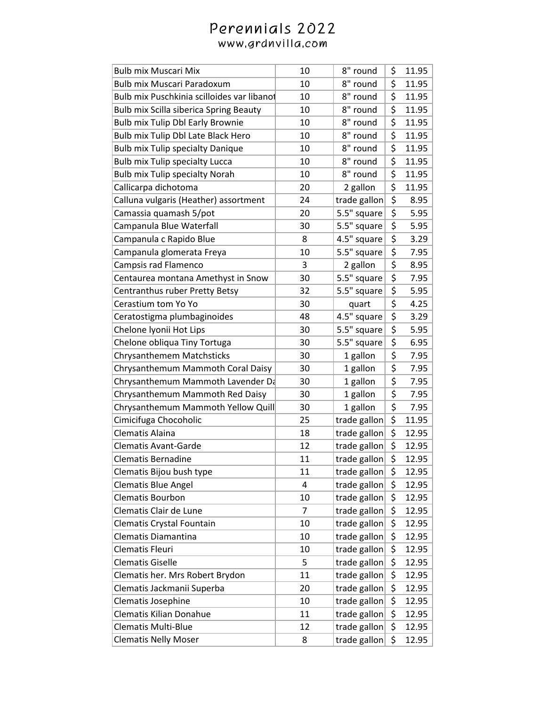| <b>Bulb mix Muscari Mix</b>                   | 10             | 8" round     | \$                              | 11.95 |
|-----------------------------------------------|----------------|--------------|---------------------------------|-------|
| <b>Bulb mix Muscari Paradoxum</b>             | 10             | 8" round     | \$                              | 11.95 |
| Bulb mix Puschkinia scilloides var libanot    | 10             | 8" round     | \$                              | 11.95 |
| <b>Bulb mix Scilla siberica Spring Beauty</b> | 10             | 8" round     | \$                              | 11.95 |
| Bulb mix Tulip Dbl Early Brownie              | 10             | 8" round     | \$                              | 11.95 |
| Bulb mix Tulip Dbl Late Black Hero            | 10             | 8" round     | \$                              | 11.95 |
| <b>Bulb mix Tulip specialty Danique</b>       | 10             | 8" round     | \$                              | 11.95 |
| <b>Bulb mix Tulip specialty Lucca</b>         | 10             | 8" round     | \$                              | 11.95 |
| <b>Bulb mix Tulip specialty Norah</b>         | 10             | 8" round     | $\overline{\boldsymbol{\zeta}}$ | 11.95 |
| Callicarpa dichotoma                          | 20             | 2 gallon     | \$                              | 11.95 |
| Calluna vulgaris (Heather) assortment         | 24             | trade gallon | \$                              | 8.95  |
| Camassia quamash 5/pot                        | 20             | 5.5" square  | \$                              | 5.95  |
| Campanula Blue Waterfall                      | 30             | 5.5" square  | \$                              | 5.95  |
| Campanula c Rapido Blue                       | 8              | 4.5" square  | \$                              | 3.29  |
| Campanula glomerata Freya                     | 10             | 5.5" square  | \$                              | 7.95  |
| Campsis rad Flamenco                          | 3              | 2 gallon     | $\overline{\boldsymbol{\zeta}}$ | 8.95  |
| Centaurea montana Amethyst in Snow            | 30             | 5.5" square  | \$                              | 7.95  |
| Centranthus ruber Pretty Betsy                | 32             | 5.5" square  | \$                              | 5.95  |
| Cerastium tom Yo Yo                           | 30             | quart        | $\overline{\boldsymbol{\zeta}}$ | 4.25  |
| Ceratostigma plumbaginoides                   | 48             | 4.5" square  | \$                              | 3.29  |
| Chelone Iyonii Hot Lips                       | 30             | 5.5" square  | \$                              | 5.95  |
| Chelone obliqua Tiny Tortuga                  | 30             | 5.5" square  | \$                              | 6.95  |
| <b>Chrysanthemem Matchsticks</b>              | 30             | 1 gallon     | \$                              | 7.95  |
| Chrysanthemum Mammoth Coral Daisy             | 30             | 1 gallon     | \$                              | 7.95  |
| Chrysanthemum Mammoth Lavender Da             | 30             | 1 gallon     | \$                              | 7.95  |
| Chrysanthemum Mammoth Red Daisy               | 30             | 1 gallon     | \$                              | 7.95  |
| Chrysanthemum Mammoth Yellow Quill            | 30             | 1 gallon     | $\overline{\boldsymbol{\zeta}}$ | 7.95  |
| Cimicifuga Chocoholic                         | 25             | trade gallon | \$                              | 11.95 |
| <b>Clematis Alaina</b>                        | 18             | trade gallon | \$                              | 12.95 |
| <b>Clematis Avant-Garde</b>                   | 12             | trade gallon | \$                              | 12.95 |
| <b>Clematis Bernadine</b>                     | 11             | trade gallon | Ś                               | 12.95 |
| Clematis Bijou bush type                      | 11             | trade gallon | \$                              | 12.95 |
| <b>Clematis Blue Angel</b>                    | 4              | trade gallon | \$                              | 12.95 |
| Clematis Bourbon                              | 10             | trade gallon | \$                              | 12.95 |
| Clematis Clair de Lune                        | $\overline{7}$ | trade gallon | \$                              | 12.95 |
| Clematis Crystal Fountain                     | 10             | trade gallon | \$                              | 12.95 |
| Clematis Diamantina                           | 10             | trade gallon | \$                              | 12.95 |
| <b>Clematis Fleuri</b>                        | 10             | trade gallon | \$                              | 12.95 |
| <b>Clematis Giselle</b>                       | 5              | trade gallon | \$                              | 12.95 |
| Clematis her. Mrs Robert Brydon               | 11             | trade gallon | \$                              | 12.95 |
| Clematis Jackmanii Superba                    | 20             | trade gallon | \$                              | 12.95 |
| Clematis Josephine                            | 10             | trade gallon | \$                              | 12.95 |
| <b>Clematis Kilian Donahue</b>                | 11             | trade gallon | \$                              | 12.95 |
| <b>Clematis Multi-Blue</b>                    | 12             | trade gallon | \$                              | 12.95 |
| <b>Clematis Nelly Moser</b>                   | 8              | trade gallon | \$                              | 12.95 |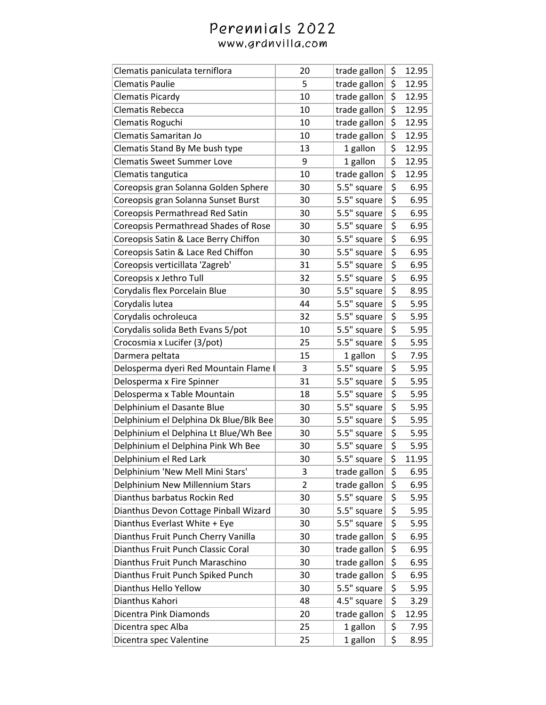| Clematis paniculata terniflora         | 20             | trade gallon | \$                                  | 12.95 |
|----------------------------------------|----------------|--------------|-------------------------------------|-------|
| <b>Clematis Paulie</b>                 | 5              | trade gallon | \$                                  | 12.95 |
| <b>Clematis Picardy</b>                | 10             | trade gallon | \$                                  | 12.95 |
| Clematis Rebecca                       | 10             | trade gallon | \$                                  | 12.95 |
| Clematis Roguchi                       | 10             | trade gallon | \$                                  | 12.95 |
| Clematis Samaritan Jo                  | 10             | trade gallon | \$                                  | 12.95 |
| Clematis Stand By Me bush type         | 13             | 1 gallon     | \$                                  | 12.95 |
| <b>Clematis Sweet Summer Love</b>      | 9              | 1 gallon     | \$                                  | 12.95 |
| Clematis tangutica                     | 10             | trade gallon | \$                                  | 12.95 |
| Coreopsis gran Solanna Golden Sphere   | 30             | 5.5" square  | \$                                  | 6.95  |
| Coreopsis gran Solanna Sunset Burst    | 30             | 5.5" square  | \$                                  | 6.95  |
| Coreopsis Permathread Red Satin        | 30             | 5.5" square  | $\overline{\boldsymbol{\zeta}}$     | 6.95  |
| Coreopsis Permathread Shades of Rose   | 30             | 5.5" square  | \$                                  | 6.95  |
| Coreopsis Satin & Lace Berry Chiffon   | 30             | 5.5" square  | \$                                  | 6.95  |
| Coreopsis Satin & Lace Red Chiffon     | 30             | 5.5" square  | \$                                  | 6.95  |
| Coreopsis verticillata 'Zagreb'        | 31             | 5.5" square  | \$                                  | 6.95  |
| Coreopsis x Jethro Tull                | 32             | 5.5" square  | \$                                  | 6.95  |
| Corydalis flex Porcelain Blue          | 30             | 5.5" square  | \$                                  | 8.95  |
| Corydalis lutea                        | 44             | 5.5" square  | \$                                  | 5.95  |
| Corydalis ochroleuca                   | 32             | 5.5" square  | $\overline{\boldsymbol{\varsigma}}$ | 5.95  |
| Corydalis solida Beth Evans 5/pot      | 10             | 5.5" square  | \$                                  | 5.95  |
| Crocosmia x Lucifer (3/pot)            | 25             | 5.5" square  | \$                                  | 5.95  |
| Darmera peltata                        | 15             | 1 gallon     | \$                                  | 7.95  |
| Delosperma dyeri Red Mountain Flame I  | 3              | 5.5" square  | $\overline{\boldsymbol{\zeta}}$     | 5.95  |
| Delosperma x Fire Spinner              | 31             | 5.5" square  | \$                                  | 5.95  |
| Delosperma x Table Mountain            | 18             | 5.5" square  | \$                                  | 5.95  |
| Delphinium el Dasante Blue             | 30             | 5.5" square  | \$                                  | 5.95  |
| Delphinium el Delphina Dk Blue/Blk Bee | 30             | 5.5" square  | \$                                  | 5.95  |
| Delphinium el Delphina Lt Blue/Wh Bee  | 30             | 5.5" square  | \$                                  | 5.95  |
| Delphinium el Delphina Pink Wh Bee     | 30             | 5.5" square  | \$                                  | 5.95  |
| Delphinium el Red Lark                 | 30             | 5.5" square  | $\overline{\mathsf{s}}$             | 11.95 |
| Delphinium 'New Mell Mini Stars'       | 3              | trade gallon | \$                                  | 6.95  |
| Delphinium New Millennium Stars        | $\overline{2}$ | trade gallon | \$                                  | 6.95  |
| Dianthus barbatus Rockin Red           | 30             | 5.5" square  | \$                                  | 5.95  |
| Dianthus Devon Cottage Pinball Wizard  | 30             | 5.5" square  | \$                                  | 5.95  |
| Dianthus Everlast White + Eye          | 30             | 5.5" square  | \$                                  | 5.95  |
| Dianthus Fruit Punch Cherry Vanilla    | 30             | trade gallon | \$                                  | 6.95  |
| Dianthus Fruit Punch Classic Coral     | 30             | trade gallon | \$                                  | 6.95  |
| Dianthus Fruit Punch Maraschino        | 30             | trade gallon | \$                                  | 6.95  |
| Dianthus Fruit Punch Spiked Punch      | 30             | trade gallon | \$                                  | 6.95  |
| Dianthus Hello Yellow                  | 30             | 5.5" square  | \$                                  | 5.95  |
| Dianthus Kahori                        | 48             | 4.5" square  | \$                                  | 3.29  |
| Dicentra Pink Diamonds                 | 20             | trade gallon | \$                                  | 12.95 |
| Dicentra spec Alba                     | 25             | 1 gallon     | \$                                  | 7.95  |
| Dicentra spec Valentine                | 25             | 1 gallon     | \$                                  | 8.95  |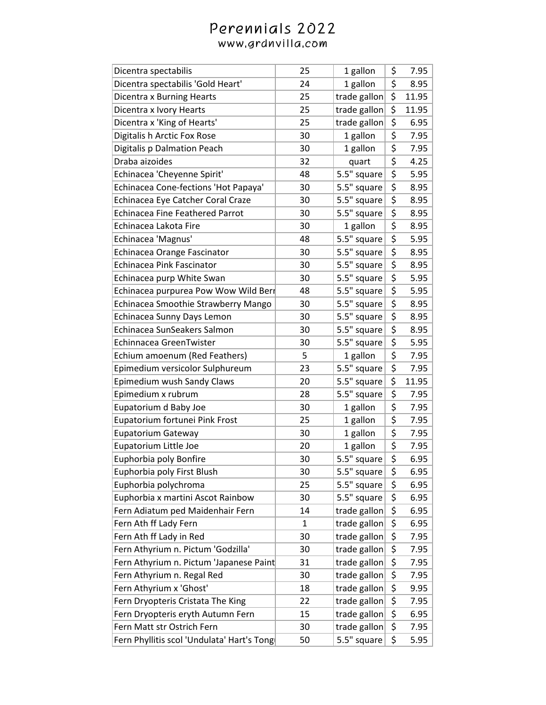| Dicentra spectabilis                       | 25 | 1 gallon     | \$                                  | 7.95  |
|--------------------------------------------|----|--------------|-------------------------------------|-------|
| Dicentra spectabilis 'Gold Heart'          | 24 | 1 gallon     | \$                                  | 8.95  |
| Dicentra x Burning Hearts                  | 25 | trade gallon | $\overline{\boldsymbol{\zeta}}$     | 11.95 |
| Dicentra x Ivory Hearts                    | 25 | trade gallon | \$                                  | 11.95 |
| Dicentra x 'King of Hearts'                | 25 | trade gallon | $\overline{\boldsymbol{\zeta}}$     | 6.95  |
| Digitalis h Arctic Fox Rose                | 30 | 1 gallon     | \$                                  | 7.95  |
| Digitalis p Dalmation Peach                | 30 | 1 gallon     | $\overline{\boldsymbol{\zeta}}$     | 7.95  |
| Draba aizoides                             | 32 | quart        | $\overline{\boldsymbol{\zeta}}$     | 4.25  |
| Echinacea 'Cheyenne Spirit'                | 48 | 5.5" square  | \$                                  | 5.95  |
| Echinacea Cone-fections 'Hot Papaya'       | 30 | 5.5" square  | \$                                  | 8.95  |
| Echinacea Eye Catcher Coral Craze          | 30 | 5.5" square  | \$                                  | 8.95  |
| <b>Echinacea Fine Feathered Parrot</b>     | 30 | 5.5" square  | \$                                  | 8.95  |
| Echinacea Lakota Fire                      | 30 | 1 gallon     | \$                                  | 8.95  |
| Echinacea 'Magnus'                         | 48 | 5.5" square  | $\overline{\boldsymbol{\zeta}}$     | 5.95  |
| Echinacea Orange Fascinator                | 30 | 5.5" square  | \$                                  | 8.95  |
| <b>Echinacea Pink Fascinator</b>           | 30 | 5.5" square  | \$                                  | 8.95  |
| Echinacea purp White Swan                  | 30 | 5.5" square  | \$                                  | 5.95  |
| Echinacea purpurea Pow Wow Wild Berr       | 48 | 5.5" square  | \$                                  | 5.95  |
| Echinacea Smoothie Strawberry Mango        | 30 | 5.5" square  | $\overline{\boldsymbol{\zeta}}$     | 8.95  |
| Echinacea Sunny Days Lemon                 | 30 | 5.5" square  | $\overline{\boldsymbol{\varsigma}}$ | 8.95  |
| Echinacea SunSeakers Salmon                | 30 | 5.5" square  | \$                                  | 8.95  |
| Echinnacea GreenTwister                    | 30 | 5.5" square  | \$                                  | 5.95  |
| Echium amoenum (Red Feathers)              | 5  | 1 gallon     | \$                                  | 7.95  |
| Epimedium versicolor Sulphureum            | 23 | 5.5" square  | \$                                  | 7.95  |
| Epimedium wush Sandy Claws                 | 20 | 5.5" square  | \$                                  | 11.95 |
| Epimedium x rubrum                         | 28 | 5.5" square  | \$                                  | 7.95  |
| Eupatorium d Baby Joe                      | 30 | 1 gallon     | $\overline{\boldsymbol{\zeta}}$     | 7.95  |
| Eupatorium fortunei Pink Frost             | 25 | 1 gallon     | \$                                  | 7.95  |
| <b>Eupatorium Gateway</b>                  | 30 | 1 gallon     | \$                                  | 7.95  |
| Eupatorium Little Joe                      | 20 | 1 gallon     | $\overline{\boldsymbol{\zeta}}$     | 7.95  |
| Euphorbia poly Bonfire                     | 30 | 5.5" square  | $\overline{\mathsf{s}}$             | 6.95  |
| Euphorbia poly First Blush                 | 30 | 5.5" square  | \$                                  | 6.95  |
| Euphorbia polychroma                       | 25 | 5.5" square  | \$                                  | 6.95  |
| Euphorbia x martini Ascot Rainbow          | 30 | 5.5" square  | \$                                  | 6.95  |
| Fern Adiatum ped Maidenhair Fern           | 14 | trade gallon | \$                                  | 6.95  |
| Fern Ath ff Lady Fern                      | 1  | trade gallon | \$                                  | 6.95  |
| Fern Ath ff Lady in Red                    | 30 | trade gallon | \$                                  | 7.95  |
| Fern Athyrium n. Pictum 'Godzilla'         | 30 | trade gallon | $\overline{\boldsymbol{\zeta}}$     | 7.95  |
| Fern Athyrium n. Pictum 'Japanese Paint    | 31 | trade gallon | \$                                  | 7.95  |
| Fern Athyrium n. Regal Red                 | 30 | trade gallon | \$                                  | 7.95  |
| Fern Athyrium x 'Ghost'                    | 18 | trade gallon | \$                                  | 9.95  |
| Fern Dryopteris Cristata The King          | 22 | trade gallon | \$                                  | 7.95  |
| Fern Dryopteris eryth Autumn Fern          | 15 | trade gallon | \$                                  | 6.95  |
| Fern Matt str Ostrich Fern                 | 30 | trade gallon | \$                                  | 7.95  |
| Fern Phyllitis scol 'Undulata' Hart's Tong | 50 | 5.5" square  | \$                                  | 5.95  |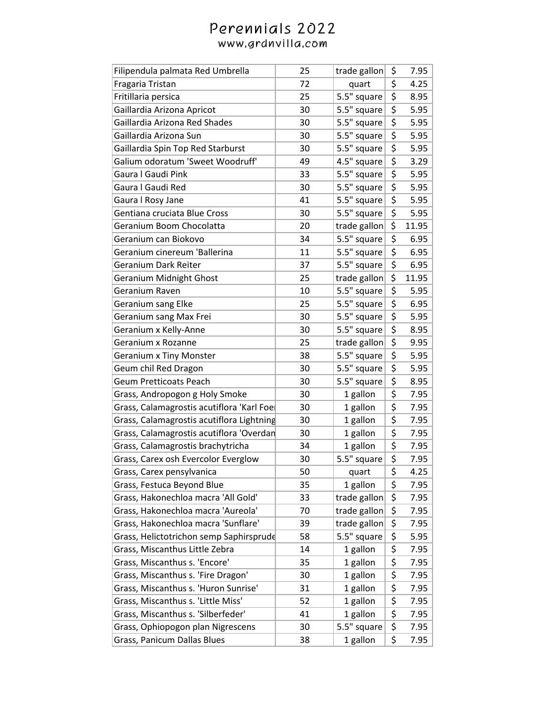| Filipendula palmata Red Umbrella          | 25 | trade gallon | \$                                  | 7.95  |
|-------------------------------------------|----|--------------|-------------------------------------|-------|
| Fragaria Tristan                          | 72 | quart        | \$                                  | 4.25  |
| Fritillaria persica                       | 25 | 5.5" square  | \$                                  | 8.95  |
| Gaillardia Arizona Apricot                | 30 | 5.5" square  | \$                                  | 5.95  |
| Gaillardia Arizona Red Shades             | 30 | 5.5" square  | $\overline{\boldsymbol{\varsigma}}$ | 5.95  |
| Gaillardia Arizona Sun                    | 30 | 5.5" square  | \$                                  | 5.95  |
| Gaillardia Spin Top Red Starburst         | 30 | 5.5" square  | \$                                  | 5.95  |
| Galium odoratum 'Sweet Woodruff'          | 49 | 4.5" square  | \$                                  | 3.29  |
| Gaura I Gaudi Pink                        | 33 | 5.5" square  | \$                                  | 5.95  |
| Gaura I Gaudi Red                         | 30 | 5.5" square  | \$                                  | 5.95  |
| Gaura I Rosy Jane                         | 41 | 5.5" square  | \$                                  | 5.95  |
| Gentiana cruciata Blue Cross              | 30 | 5.5" square  | \$                                  | 5.95  |
| Geranium Boom Chocolatta                  | 20 | trade gallon | \$                                  | 11.95 |
| Geranium can Biokovo                      | 34 | 5.5" square  | \$                                  | 6.95  |
| Geranium cinereum 'Ballerina              | 11 | 5.5" square  | \$                                  | 6.95  |
| Geranium Dark Reiter                      | 37 | 5.5" square  | \$                                  | 6.95  |
| <b>Geranium Midnight Ghost</b>            | 25 | trade gallon | \$                                  | 11.95 |
| Geranium Raven                            | 10 | 5.5" square  | \$                                  | 5.95  |
| Geranium sang Elke                        | 25 | 5.5" square  | $\overline{\boldsymbol{\varsigma}}$ | 6.95  |
| Geranium sang Max Frei                    | 30 | 5.5" square  | $\overline{\boldsymbol{\varsigma}}$ | 5.95  |
| Geranium x Kelly-Anne                     | 30 | 5.5" square  | \$                                  | 8.95  |
| Geranium x Rozanne                        | 25 | trade gallon | \$                                  | 9.95  |
| <b>Geranium x Tiny Monster</b>            | 38 | 5.5" square  | \$                                  | 5.95  |
| Geum chil Red Dragon                      | 30 | 5.5" square  | \$                                  | 5.95  |
| <b>Geum Pretticoats Peach</b>             | 30 | 5.5" square  | \$                                  | 8.95  |
| Grass, Andropogon g Holy Smoke            | 30 | 1 gallon     | \$                                  | 7.95  |
| Grass, Calamagrostis acutiflora 'Karl Foe | 30 | 1 gallon     | \$                                  | 7.95  |
| Grass, Calamagrostis acutiflora Lightning | 30 | 1 gallon     | \$                                  | 7.95  |
| Grass, Calamagrostis acutiflora 'Overdan  | 30 | 1 gallon     | \$                                  | 7.95  |
| Grass, Calamagrostis brachytricha         | 34 | 1 gallon     | \$                                  | 7.95  |
| Grass, Carex osh Evercolor Everglow       | 30 | 5.5" square  | \$                                  | 7.95  |
| Grass, Carex pensylvanica                 | 50 | quart        | \$                                  | 4.25  |
| Grass, Festuca Beyond Blue                | 35 | 1 gallon     | \$                                  | 7.95  |
| Grass, Hakonechloa macra 'All Gold'       | 33 | trade gallon | \$                                  | 7.95  |
| Grass, Hakonechloa macra 'Aureola'        | 70 | trade gallon | \$                                  | 7.95  |
| Grass, Hakonechloa macra 'Sunflare'       | 39 | trade gallon | \$                                  | 7.95  |
| Grass, Helictotrichon semp Saphirsprude   | 58 | 5.5" square  | \$                                  | 5.95  |
| Grass, Miscanthus Little Zebra            | 14 | 1 gallon     | \$                                  | 7.95  |
| Grass, Miscanthus s. 'Encore'             | 35 | 1 gallon     | \$                                  | 7.95  |
| Grass, Miscanthus s. 'Fire Dragon'        | 30 | 1 gallon     | \$                                  | 7.95  |
| Grass, Miscanthus s. 'Huron Sunrise'      | 31 | 1 gallon     | \$                                  | 7.95  |
| Grass, Miscanthus s. 'Little Miss'        | 52 | 1 gallon     | \$                                  | 7.95  |
| Grass, Miscanthus s. 'Silberfeder'        | 41 | 1 gallon     | \$                                  | 7.95  |
| Grass, Ophiopogon plan Nigrescens         | 30 | 5.5" square  | \$                                  | 7.95  |
| Grass, Panicum Dallas Blues               | 38 | 1 gallon     | \$                                  | 7.95  |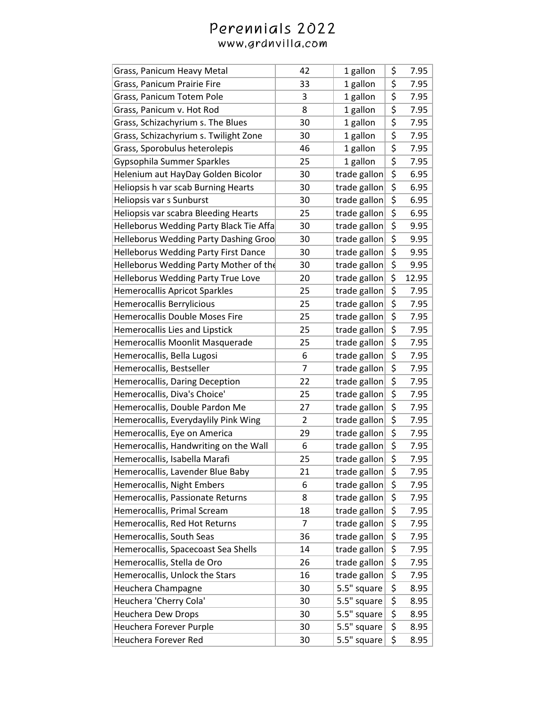| Grass, Panicum Heavy Metal                  | 42             | 1 gallon     | \$                                  | 7.95  |
|---------------------------------------------|----------------|--------------|-------------------------------------|-------|
| Grass, Panicum Prairie Fire                 | 33             | 1 gallon     | \$                                  | 7.95  |
| Grass, Panicum Totem Pole                   | 3              | 1 gallon     | \$                                  | 7.95  |
| Grass, Panicum v. Hot Rod                   | 8              | 1 gallon     | \$                                  | 7.95  |
| Grass, Schizachyrium s. The Blues           | 30             | 1 gallon     | $\overline{\boldsymbol{\varsigma}}$ | 7.95  |
| Grass, Schizachyrium s. Twilight Zone       | 30             | 1 gallon     | \$                                  | 7.95  |
| Grass, Sporobulus heterolepis               | 46             | 1 gallon     | \$                                  | 7.95  |
| Gypsophila Summer Sparkles                  | 25             | 1 gallon     | \$                                  | 7.95  |
| Helenium aut HayDay Golden Bicolor          | 30             | trade gallon | \$                                  | 6.95  |
| Heliopsis h var scab Burning Hearts         | 30             | trade gallon | \$                                  | 6.95  |
| Heliopsis var s Sunburst                    | 30             | trade gallon | \$                                  | 6.95  |
| Heliopsis var scabra Bleeding Hearts        | 25             | trade gallon | \$                                  | 6.95  |
| Helleborus Wedding Party Black Tie Affa     | 30             | trade gallon | \$                                  | 9.95  |
| Helleborus Wedding Party Dashing Groo       | 30             | trade gallon | \$                                  | 9.95  |
| <b>Helleborus Wedding Party First Dance</b> | 30             | trade gallon | \$                                  | 9.95  |
| Helleborus Wedding Party Mother of the      | 30             | trade gallon | \$                                  | 9.95  |
| Helleborus Wedding Party True Love          | 20             | trade gallon | \$                                  | 12.95 |
| <b>Hemerocallis Apricot Sparkles</b>        | 25             | trade gallon | \$                                  | 7.95  |
| <b>Hemerocallis Berrylicious</b>            | 25             | trade gallon | \$                                  | 7.95  |
| Hemerocallis Double Moses Fire              | 25             | trade gallon | \$                                  | 7.95  |
| Hemerocallis Lies and Lipstick              | 25             | trade gallon | \$                                  | 7.95  |
| Hemerocallis Moonlit Masquerade             | 25             | trade gallon | \$                                  | 7.95  |
| Hemerocallis, Bella Lugosi                  | 6              | trade gallon | \$                                  | 7.95  |
| Hemerocallis, Bestseller                    | 7              | trade gallon | \$                                  | 7.95  |
| Hemerocallis, Daring Deception              | 22             | trade gallon | \$                                  | 7.95  |
| Hemerocallis, Diva's Choice'                | 25             | trade gallon | \$                                  | 7.95  |
| Hemerocallis, Double Pardon Me              | 27             | trade gallon | \$                                  | 7.95  |
| Hemerocallis, Everydaylily Pink Wing        | $\overline{2}$ | trade gallon | \$                                  | 7.95  |
| Hemerocallis, Eye on America                | 29             | trade gallon | \$                                  | 7.95  |
| Hemerocallis, Handwriting on the Wall       | 6              | trade gallon | \$                                  | 7.95  |
| Hemerocallis, Isabella Marafi               | 25             | trade gallon | \$                                  | 7.95  |
| Hemerocallis, Lavender Blue Baby            | 21             | trade gallon | \$                                  | 7.95  |
| Hemerocallis, Night Embers                  | 6              | trade gallon | \$                                  | 7.95  |
| Hemerocallis, Passionate Returns            | 8              | trade gallon | \$                                  | 7.95  |
| Hemerocallis, Primal Scream                 | 18             | trade gallon | \$                                  | 7.95  |
| Hemerocallis, Red Hot Returns               | 7              | trade gallon | \$                                  | 7.95  |
| Hemerocallis, South Seas                    | 36             | trade gallon | \$                                  | 7.95  |
| Hemerocallis, Spacecoast Sea Shells         | 14             | trade gallon | $\overline{\boldsymbol{\zeta}}$     | 7.95  |
| Hemerocallis, Stella de Oro                 | 26             | trade gallon | \$                                  | 7.95  |
| Hemerocallis, Unlock the Stars              | 16             | trade gallon | \$                                  | 7.95  |
| Heuchera Champagne                          | 30             | 5.5" square  | \$                                  | 8.95  |
| Heuchera 'Cherry Cola'                      | 30             | 5.5" square  | \$                                  | 8.95  |
| <b>Heuchera Dew Drops</b>                   | 30             | 5.5" square  | \$                                  | 8.95  |
| Heuchera Forever Purple                     | 30             | 5.5" square  | \$                                  | 8.95  |
| Heuchera Forever Red                        | 30             | 5.5" square  | \$                                  | 8.95  |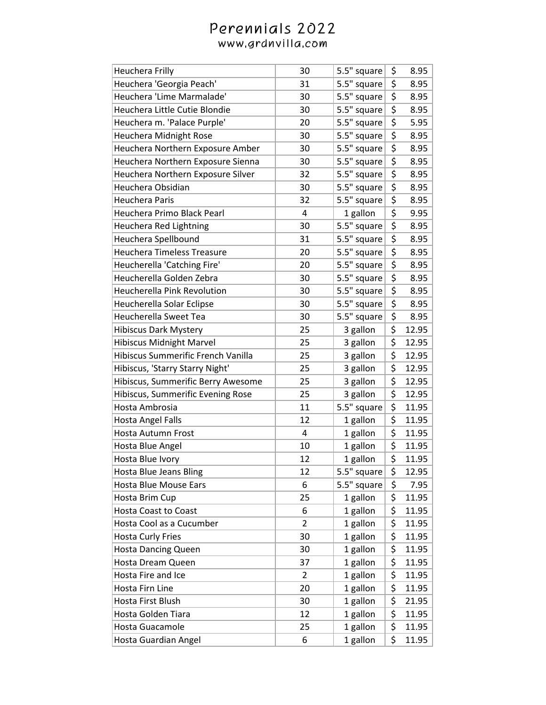| <b>Heuchera Frilly</b>             | 30             | 5.5" square | \$                              | 8.95  |
|------------------------------------|----------------|-------------|---------------------------------|-------|
| Heuchera 'Georgia Peach'           | 31             | 5.5" square | \$                              | 8.95  |
| Heuchera 'Lime Marmalade'          | 30             | 5.5" square | \$                              | 8.95  |
| Heuchera Little Cutie Blondie      | 30             | 5.5" square | \$                              | 8.95  |
| Heuchera m. 'Palace Purple'        | 20             | 5.5" square | \$                              | 5.95  |
| Heuchera Midnight Rose             | 30             | 5.5" square | \$                              | 8.95  |
| Heuchera Northern Exposure Amber   | 30             | 5.5" square | \$                              | 8.95  |
| Heuchera Northern Exposure Sienna  | 30             | 5.5" square | \$                              | 8.95  |
| Heuchera Northern Exposure Silver  | 32             | 5.5" square | $\overline{\boldsymbol{\zeta}}$ | 8.95  |
| Heuchera Obsidian                  | 30             | 5.5" square | \$                              | 8.95  |
| <b>Heuchera Paris</b>              | 32             | 5.5" square | \$                              | 8.95  |
| Heuchera Primo Black Pearl         | 4              | 1 gallon    | \$                              | 9.95  |
| Heuchera Red Lightning             | 30             | 5.5" square | $\overline{\boldsymbol{\zeta}}$ | 8.95  |
| Heuchera Spellbound                | 31             | 5.5" square | \$                              | 8.95  |
| <b>Heuchera Timeless Treasure</b>  | 20             | 5.5" square | \$                              | 8.95  |
| Heucherella 'Catching Fire'        | 20             | 5.5" square | \$                              | 8.95  |
| Heucherella Golden Zebra           | 30             | 5.5" square | \$                              | 8.95  |
| Heucherella Pink Revolution        | 30             | 5.5" square | \$                              | 8.95  |
| Heucherella Solar Eclipse          | 30             | 5.5" square | $\overline{\boldsymbol{\zeta}}$ | 8.95  |
| <b>Heucherella Sweet Tea</b>       | 30             | 5.5" square | \$                              | 8.95  |
| <b>Hibiscus Dark Mystery</b>       | 25             | 3 gallon    | \$                              | 12.95 |
| <b>Hibiscus Midnight Marvel</b>    | 25             | 3 gallon    | \$                              | 12.95 |
| Hibiscus Summerific French Vanilla | 25             | 3 gallon    | \$                              | 12.95 |
| Hibiscus, 'Starry Starry Night'    | 25             | 3 gallon    | \$                              | 12.95 |
| Hibiscus, Summerific Berry Awesome | 25             | 3 gallon    | \$                              | 12.95 |
| Hibiscus, Summerific Evening Rose  | 25             | 3 gallon    | \$                              | 12.95 |
| Hosta Ambrosia                     | 11             | 5.5" square | \$                              | 11.95 |
| Hosta Angel Falls                  | 12             | 1 gallon    | \$                              | 11.95 |
| <b>Hosta Autumn Frost</b>          | 4              | 1 gallon    | \$                              | 11.95 |
| Hosta Blue Angel                   | 10             | 1 gallon    | \$                              | 11.95 |
| Hosta Blue Ivory                   | 12             | 1 gallon    | $\overline{\mathsf{s}}$         | 11.95 |
| Hosta Blue Jeans Bling             | 12             | 5.5" square | \$                              | 12.95 |
| <b>Hosta Blue Mouse Ears</b>       | 6              | 5.5" square | \$                              | 7.95  |
| Hosta Brim Cup                     | 25             | 1 gallon    | \$                              | 11.95 |
| Hosta Coast to Coast               | 6              | 1 gallon    | \$                              | 11.95 |
| Hosta Cool as a Cucumber           | $\overline{2}$ | 1 gallon    | \$                              | 11.95 |
| <b>Hosta Curly Fries</b>           | 30             | 1 gallon    | \$                              | 11.95 |
| <b>Hosta Dancing Queen</b>         | 30             | 1 gallon    | \$                              | 11.95 |
| Hosta Dream Queen                  | 37             | 1 gallon    | \$                              | 11.95 |
| Hosta Fire and Ice                 | $\overline{2}$ | 1 gallon    | \$                              | 11.95 |
| Hosta Firn Line                    | 20             | 1 gallon    | \$                              | 11.95 |
| Hosta First Blush                  | 30             | 1 gallon    | \$                              | 21.95 |
| Hosta Golden Tiara                 | 12             | 1 gallon    | \$                              | 11.95 |
| Hosta Guacamole                    | 25             | 1 gallon    | \$                              | 11.95 |
| Hosta Guardian Angel               | 6              | 1 gallon    | \$                              | 11.95 |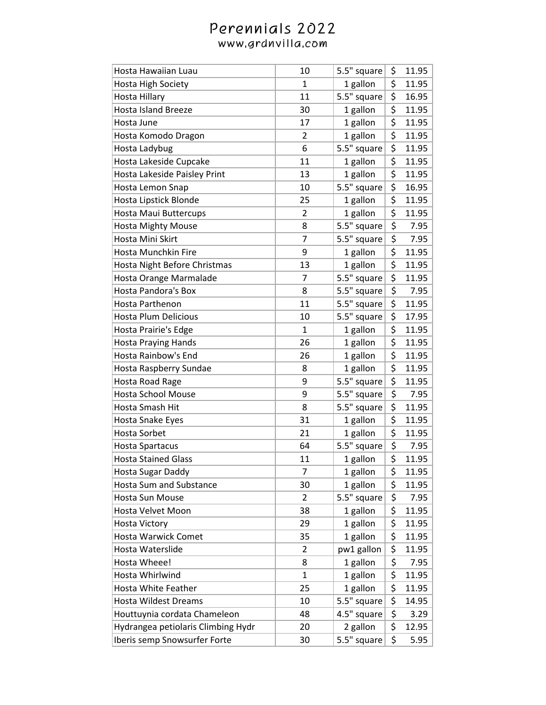| Hosta Hawaiian Luau                | 10             | 5.5" square | \$                              | 11.95 |
|------------------------------------|----------------|-------------|---------------------------------|-------|
| <b>Hosta High Society</b>          | $\mathbf{1}$   | 1 gallon    | \$                              | 11.95 |
| Hosta Hillary                      | 11             | 5.5" square | \$                              | 16.95 |
| <b>Hosta Island Breeze</b>         | 30             | 1 gallon    | \$                              | 11.95 |
| Hosta June                         | 17             | 1 gallon    | \$                              | 11.95 |
| Hosta Komodo Dragon                | 2              | 1 gallon    | \$                              | 11.95 |
| Hosta Ladybug                      | 6              | 5.5" square | \$                              | 11.95 |
| Hosta Lakeside Cupcake             | 11             | 1 gallon    | \$                              | 11.95 |
| Hosta Lakeside Paisley Print       | 13             | 1 gallon    | \$                              | 11.95 |
| Hosta Lemon Snap                   | 10             | 5.5" square | \$                              | 16.95 |
| Hosta Lipstick Blonde              | 25             | 1 gallon    | \$                              | 11.95 |
| Hosta Maui Buttercups              | $\overline{2}$ | 1 gallon    | \$                              | 11.95 |
| <b>Hosta Mighty Mouse</b>          | 8              | 5.5" square | \$                              | 7.95  |
| Hosta Mini Skirt                   | $\overline{7}$ | 5.5" square | \$                              | 7.95  |
| Hosta Munchkin Fire                | 9              | 1 gallon    | \$                              | 11.95 |
| Hosta Night Before Christmas       | 13             | 1 gallon    | \$                              | 11.95 |
| Hosta Orange Marmalade             | $\overline{7}$ | 5.5" square | \$                              | 11.95 |
| <b>Hosta Pandora's Box</b>         | 8              | 5.5" square | \$                              | 7.95  |
| Hosta Parthenon                    | 11             | 5.5" square | \$                              | 11.95 |
| <b>Hosta Plum Delicious</b>        | 10             | 5.5" square | \$                              | 17.95 |
| Hosta Prairie's Edge               | $\mathbf{1}$   | 1 gallon    | \$                              | 11.95 |
| <b>Hosta Praying Hands</b>         | 26             | 1 gallon    | \$                              | 11.95 |
| Hosta Rainbow's End                | 26             | 1 gallon    | \$                              | 11.95 |
| Hosta Raspberry Sundae             | 8              | 1 gallon    | \$                              | 11.95 |
| Hosta Road Rage                    | 9              | 5.5" square | \$                              | 11.95 |
| <b>Hosta School Mouse</b>          | 9              | 5.5" square | \$                              | 7.95  |
| Hosta Smash Hit                    | 8              | 5.5" square | \$                              | 11.95 |
| Hosta Snake Eyes                   | 31             | 1 gallon    | \$                              | 11.95 |
| <b>Hosta Sorbet</b>                | 21             | 1 gallon    | \$                              | 11.95 |
| <b>Hosta Spartacus</b>             | 64             | 5.5" square | \$                              | 7.95  |
| <b>Hosta Stained Glass</b>         | 11             | 1 gallon    | $\overline{\boldsymbol{\zeta}}$ | 11.95 |
| Hosta Sugar Daddy                  | 7              | 1 gallon    | \$                              | 11.95 |
| <b>Hosta Sum and Substance</b>     | 30             | 1 gallon    | \$                              | 11.95 |
| Hosta Sun Mouse                    | 2              | 5.5" square | \$                              | 7.95  |
| Hosta Velvet Moon                  | 38             | 1 gallon    | \$                              | 11.95 |
| <b>Hosta Victory</b>               | 29             | 1 gallon    | \$                              | 11.95 |
| <b>Hosta Warwick Comet</b>         | 35             | 1 gallon    | \$                              | 11.95 |
| Hosta Waterslide                   | 2              | pw1 gallon  | \$                              | 11.95 |
| Hosta Wheee!                       | 8              | 1 gallon    | \$                              | 7.95  |
| Hosta Whirlwind                    | $\mathbf{1}$   | 1 gallon    | \$                              | 11.95 |
| Hosta White Feather                | 25             | 1 gallon    | \$                              | 11.95 |
| <b>Hosta Wildest Dreams</b>        | 10             | 5.5" square | \$                              | 14.95 |
| Houttuynia cordata Chameleon       | 48             | 4.5" square | \$                              | 3.29  |
| Hydrangea petiolaris Climbing Hydr | 20             | 2 gallon    | \$                              | 12.95 |
| Iberis semp Snowsurfer Forte       | 30             | 5.5" square | \$                              | 5.95  |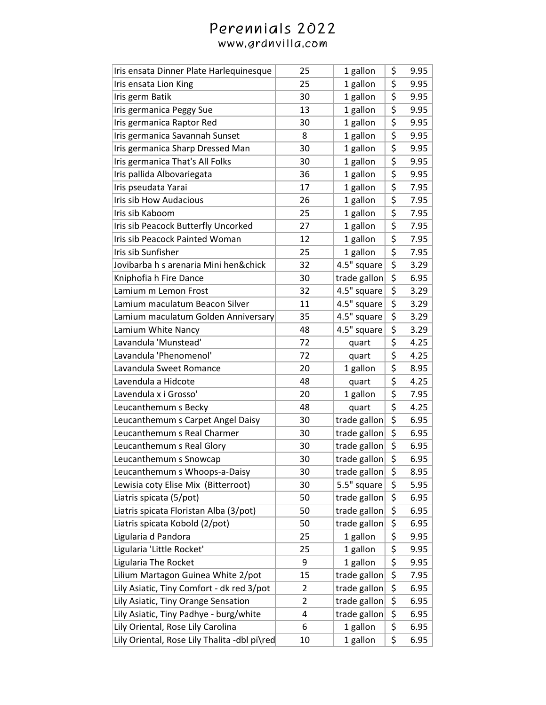| Iris ensata Dinner Plate Harlequinesque      | 25             | 1 gallon     | \$                                  | 9.95 |
|----------------------------------------------|----------------|--------------|-------------------------------------|------|
| Iris ensata Lion King                        | 25             | 1 gallon     | \$                                  | 9.95 |
| Iris germ Batik                              | 30             | 1 gallon     | \$                                  | 9.95 |
| Iris germanica Peggy Sue                     | 13             | 1 gallon     | \$                                  | 9.95 |
| Iris germanica Raptor Red                    | 30             | 1 gallon     | $\overline{\boldsymbol{\varsigma}}$ | 9.95 |
| Iris germanica Savannah Sunset               | 8              | 1 gallon     | \$                                  | 9.95 |
| Iris germanica Sharp Dressed Man             | 30             | 1 gallon     | \$                                  | 9.95 |
| Iris germanica That's All Folks              | 30             | 1 gallon     | $\overline{\boldsymbol{\varsigma}}$ | 9.95 |
| Iris pallida Albovariegata                   | 36             | 1 gallon     | \$                                  | 9.95 |
| Iris pseudata Yarai                          | 17             | 1 gallon     | \$                                  | 7.95 |
| Iris sib How Audacious                       | 26             | 1 gallon     | \$                                  | 7.95 |
| Iris sib Kaboom                              | 25             | 1 gallon     | \$                                  | 7.95 |
| Iris sib Peacock Butterfly Uncorked          | 27             | 1 gallon     | \$                                  | 7.95 |
| Iris sib Peacock Painted Woman               | 12             | 1 gallon     | \$                                  | 7.95 |
| Iris sib Sunfisher                           | 25             | 1 gallon     | \$                                  | 7.95 |
| Jovibarba h s arenaria Mini hen&chick        | 32             | 4.5" square  | \$                                  | 3.29 |
| Kniphofia h Fire Dance                       | 30             | trade gallon | \$                                  | 6.95 |
| Lamium m Lemon Frost                         | 32             | 4.5" square  | \$                                  | 3.29 |
| Lamium maculatum Beacon Silver               | 11             | 4.5" square  | $\overline{\boldsymbol{\zeta}}$     | 3.29 |
| Lamium maculatum Golden Anniversary          | 35             | 4.5" square  | \$                                  | 3.29 |
| Lamium White Nancy                           | 48             | 4.5" square  | \$                                  | 3.29 |
| Lavandula 'Munstead'                         | 72             | quart        | \$                                  | 4.25 |
| Lavandula 'Phenomenol'                       | 72             | quart        | \$                                  | 4.25 |
| Lavandula Sweet Romance                      | 20             | 1 gallon     | \$                                  | 8.95 |
| Lavendula a Hidcote                          | 48             | quart        | \$                                  | 4.25 |
| Lavendula x i Grosso'                        | 20             | 1 gallon     | \$                                  | 7.95 |
| Leucanthemum s Becky                         | 48             | quart        | \$                                  | 4.25 |
| Leucanthemum s Carpet Angel Daisy            | 30             | trade gallon | \$                                  | 6.95 |
| Leucanthemum s Real Charmer                  | 30             | trade gallon | \$                                  | 6.95 |
| Leucanthemum s Real Glory                    | 30             | trade gallon | \$                                  | 6.95 |
| Leucanthemum s Snowcap                       | 30             | trade gallon | \$                                  | 6.95 |
| Leucanthemum s Whoops-a-Daisy                | 30             | trade gallon | \$                                  | 8.95 |
| Lewisia coty Elise Mix (Bitterroot)          | 30             | 5.5" square  | \$                                  | 5.95 |
| Liatris spicata (5/pot)                      | 50             | trade gallon | \$                                  | 6.95 |
| Liatris spicata Floristan Alba (3/pot)       | 50             | trade gallon | \$                                  | 6.95 |
| Liatris spicata Kobold (2/pot)               | 50             | trade gallon | \$                                  | 6.95 |
| Ligularia d Pandora                          | 25             | 1 gallon     | \$                                  | 9.95 |
| Ligularia 'Little Rocket'                    | 25             | 1 gallon     | $\overline{\boldsymbol{\zeta}}$     | 9.95 |
| Ligularia The Rocket                         | 9              | 1 gallon     | \$                                  | 9.95 |
| Lilium Martagon Guinea White 2/pot           | 15             | trade gallon | \$                                  | 7.95 |
| Lily Asiatic, Tiny Comfort - dk red 3/pot    | 2              | trade gallon | \$                                  | 6.95 |
| Lily Asiatic, Tiny Orange Sensation          | $\overline{2}$ | trade gallon | \$                                  | 6.95 |
| Lily Asiatic, Tiny Padhye - burg/white       | 4              | trade gallon | \$                                  | 6.95 |
| Lily Oriental, Rose Lily Carolina            | 6              | 1 gallon     | \$                                  | 6.95 |
| Lily Oriental, Rose Lily Thalita -dbl pi\red | 10             | 1 gallon     | \$                                  | 6.95 |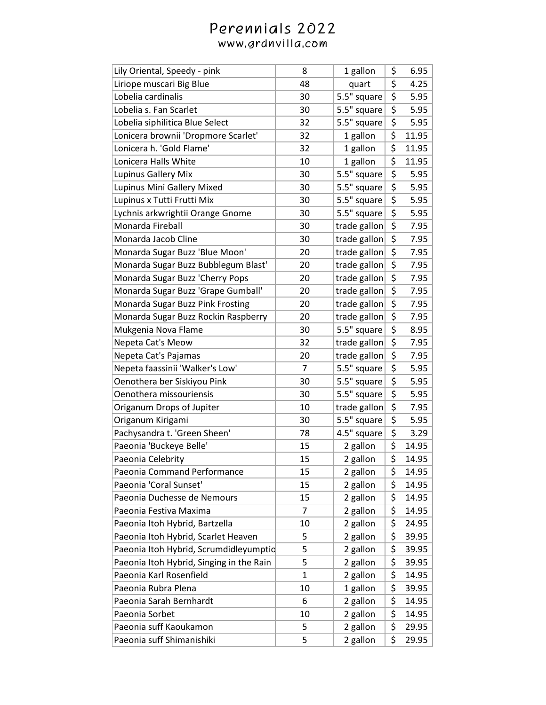| Lily Oriental, Speedy - pink             | 8              | 1 gallon     | \$<br>6.95  |
|------------------------------------------|----------------|--------------|-------------|
| Liriope muscari Big Blue                 | 48             | quart        | \$<br>4.25  |
| Lobelia cardinalis                       | 30             | 5.5" square  | \$<br>5.95  |
| Lobelia s. Fan Scarlet                   | 30             | 5.5" square  | \$<br>5.95  |
| Lobelia siphilitica Blue Select          | 32             | 5.5" square  | \$<br>5.95  |
| Lonicera brownii 'Dropmore Scarlet'      | 32             | 1 gallon     | \$<br>11.95 |
| Lonicera h. 'Gold Flame'                 | 32             | 1 gallon     | \$<br>11.95 |
| Lonicera Halls White                     | 10             | 1 gallon     | \$<br>11.95 |
| Lupinus Gallery Mix                      | 30             | 5.5" square  | \$<br>5.95  |
| Lupinus Mini Gallery Mixed               | 30             | 5.5" square  | \$<br>5.95  |
| Lupinus x Tutti Frutti Mix               | 30             | 5.5" square  | \$<br>5.95  |
| Lychnis arkwrightii Orange Gnome         | 30             | 5.5" square  | \$<br>5.95  |
| Monarda Fireball                         | 30             | trade gallon | \$<br>7.95  |
| Monarda Jacob Cline                      | 30             | trade gallon | \$<br>7.95  |
| Monarda Sugar Buzz 'Blue Moon'           | 20             | trade gallon | \$<br>7.95  |
| Monarda Sugar Buzz Bubblegum Blast'      | 20             | trade gallon | \$<br>7.95  |
| Monarda Sugar Buzz 'Cherry Pops          | 20             | trade gallon | \$<br>7.95  |
| Monarda Sugar Buzz 'Grape Gumball'       | 20             | trade gallon | \$<br>7.95  |
| Monarda Sugar Buzz Pink Frosting         | 20             | trade gallon | \$<br>7.95  |
| Monarda Sugar Buzz Rockin Raspberry      | 20             | trade gallon | \$<br>7.95  |
| Mukgenia Nova Flame                      | 30             | 5.5" square  | \$<br>8.95  |
| Nepeta Cat's Meow                        | 32             | trade gallon | \$<br>7.95  |
| Nepeta Cat's Pajamas                     | 20             | trade gallon | \$<br>7.95  |
| Nepeta faassinii 'Walker's Low'          | $\overline{7}$ | 5.5" square  | \$<br>5.95  |
| Oenothera ber Siskiyou Pink              | 30             | 5.5" square  | \$<br>5.95  |
| Oenothera missouriensis                  | 30             | 5.5" square  | \$<br>5.95  |
| Origanum Drops of Jupiter                | 10             | trade gallon | \$<br>7.95  |
| Origanum Kirigami                        | 30             | 5.5" square  | \$<br>5.95  |
| Pachysandra t. 'Green Sheen'             | 78             | 4.5" square  | \$<br>3.29  |
| Paeonia 'Buckeye Belle'                  | 15             | 2 gallon     | \$<br>14.95 |
| Paeonia Celebrity                        | 15             | 2 gallon     | \$<br>14.95 |
| Paeonia Command Performance              | 15             | 2 gallon     | \$<br>14.95 |
| Paeonia 'Coral Sunset'                   | 15             | 2 gallon     | \$<br>14.95 |
| Paeonia Duchesse de Nemours              | 15             | 2 gallon     | \$<br>14.95 |
| Paeonia Festiva Maxima                   | $\overline{7}$ | 2 gallon     | \$<br>14.95 |
| Paeonia Itoh Hybrid, Bartzella           | 10             | 2 gallon     | \$<br>24.95 |
| Paeonia Itoh Hybrid, Scarlet Heaven      | 5              | 2 gallon     | \$<br>39.95 |
| Paeonia Itoh Hybrid, Scrumdidleyumptid   | 5              | 2 gallon     | \$<br>39.95 |
| Paeonia Itoh Hybrid, Singing in the Rain | 5              | 2 gallon     | \$<br>39.95 |
| Paeonia Karl Rosenfield                  | $\mathbf{1}$   | 2 gallon     | \$<br>14.95 |
| Paeonia Rubra Plena                      | 10             | 1 gallon     | \$<br>39.95 |
| Paeonia Sarah Bernhardt                  | 6              | 2 gallon     | \$<br>14.95 |
| Paeonia Sorbet                           | 10             | 2 gallon     | \$<br>14.95 |
| Paeonia suff Kaoukamon                   | 5              | 2 gallon     | \$<br>29.95 |
| Paeonia suff Shimanishiki                | 5              | 2 gallon     | \$<br>29.95 |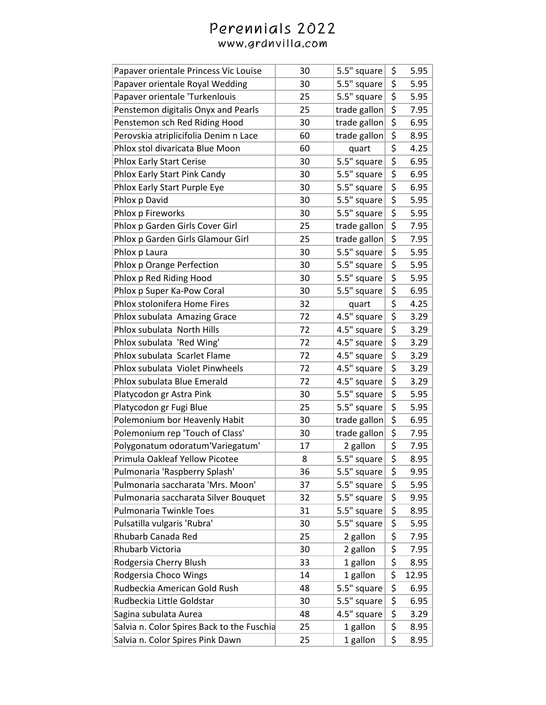| Papaver orientale Princess Vic Louise      | 30 | 5.5" square  | \$                                  | 5.95  |
|--------------------------------------------|----|--------------|-------------------------------------|-------|
| Papaver orientale Royal Wedding            | 30 | 5.5" square  | \$                                  | 5.95  |
| Papaver orientale 'Turkenlouis             | 25 | 5.5" square  | \$                                  | 5.95  |
| Penstemon digitalis Onyx and Pearls        | 25 | trade gallon | \$                                  | 7.95  |
| Penstemon sch Red Riding Hood              | 30 | trade gallon | \$                                  | 6.95  |
| Perovskia atriplicifolia Denim n Lace      | 60 | trade gallon | \$                                  | 8.95  |
| Phlox stol divaricata Blue Moon            | 60 | quart        | \$                                  | 4.25  |
| Phlox Early Start Cerise                   | 30 | 5.5" square  | \$                                  | 6.95  |
| Phlox Early Start Pink Candy               | 30 | 5.5" square  | $\overline{\boldsymbol{\zeta}}$     | 6.95  |
| Phlox Early Start Purple Eye               | 30 | 5.5" square  | \$                                  | 6.95  |
| Phlox p David                              | 30 | 5.5" square  | \$                                  | 5.95  |
| Phlox p Fireworks                          | 30 | 5.5" square  | \$                                  | 5.95  |
| Phlox p Garden Girls Cover Girl            | 25 | trade gallon | \$                                  | 7.95  |
| Phlox p Garden Girls Glamour Girl          | 25 | trade gallon | \$                                  | 7.95  |
| Phlox p Laura                              | 30 | 5.5" square  | \$                                  | 5.95  |
| Phlox p Orange Perfection                  | 30 | 5.5" square  | \$                                  | 5.95  |
| Phlox p Red Riding Hood                    | 30 | 5.5" square  | \$                                  | 5.95  |
| Phlox p Super Ka-Pow Coral                 | 30 | 5.5" square  | \$                                  | 6.95  |
| Phlox stolonifera Home Fires               | 32 | quart        | \$                                  | 4.25  |
| Phlox subulata Amazing Grace               | 72 | 4.5" square  | \$                                  | 3.29  |
| Phlox subulata North Hills                 | 72 | 4.5" square  | \$                                  | 3.29  |
| Phlox subulata 'Red Wing'                  | 72 | 4.5" square  | \$                                  | 3.29  |
| Phlox subulata Scarlet Flame               | 72 | 4.5" square  | \$                                  | 3.29  |
| Phlox subulata Violet Pinwheels            | 72 | 4.5" square  | \$                                  | 3.29  |
| Phlox subulata Blue Emerald                | 72 | 4.5" square  | \$                                  | 3.29  |
| Platycodon gr Astra Pink                   | 30 | 5.5" square  | \$                                  | 5.95  |
| Platycodon gr Fugi Blue                    | 25 | 5.5" square  | \$                                  | 5.95  |
| Polemonium bor Heavenly Habit              | 30 | trade gallon | \$                                  | 6.95  |
| Polemonium rep 'Touch of Class'            | 30 | trade gallon | \$                                  | 7.95  |
| Polygonatum odoratum'Variegatum'           | 17 | 2 gallon     | $\overline{\boldsymbol{\zeta}}$     | 7.95  |
| Primula Oakleaf Yellow Picotee             | 8  | 5.5" square  | $\overline{\mathsf{s}}$             | 8.95  |
| Pulmonaria 'Raspberry Splash'              | 36 | 5.5" square  | \$                                  | 9.95  |
| Pulmonaria saccharata 'Mrs. Moon'          | 37 | 5.5" square  | \$                                  | 5.95  |
| Pulmonaria saccharata Silver Bouquet       | 32 | 5.5" square  | \$                                  | 9.95  |
| <b>Pulmonaria Twinkle Toes</b>             | 31 | 5.5" square  | $\overline{\boldsymbol{\zeta}}$     | 8.95  |
| Pulsatilla vulgaris 'Rubra'                | 30 | 5.5" square  | \$                                  | 5.95  |
| Rhubarb Canada Red                         | 25 | 2 gallon     | \$                                  | 7.95  |
| Rhubarb Victoria                           | 30 | 2 gallon     | $\overline{\boldsymbol{\varsigma}}$ | 7.95  |
| Rodgersia Cherry Blush                     | 33 | 1 gallon     | \$                                  | 8.95  |
| Rodgersia Choco Wings                      | 14 | 1 gallon     | \$                                  | 12.95 |
| Rudbeckia American Gold Rush               | 48 | 5.5" square  | \$                                  | 6.95  |
| Rudbeckia Little Goldstar                  | 30 | 5.5" square  | \$                                  | 6.95  |
| Sagina subulata Aurea                      | 48 | 4.5" square  | \$                                  | 3.29  |
| Salvia n. Color Spires Back to the Fuschia | 25 | 1 gallon     | \$                                  | 8.95  |
| Salvia n. Color Spires Pink Dawn           | 25 | 1 gallon     | \$                                  | 8.95  |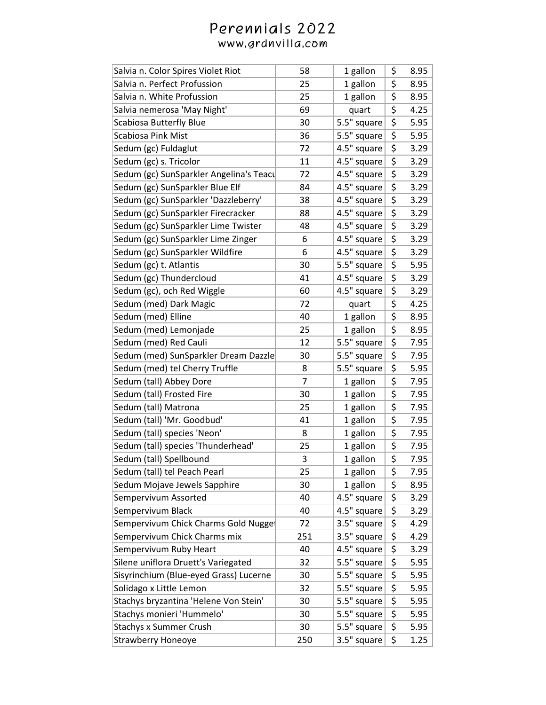| Salvia n. Color Spires Violet Riot      | 58             | 1 gallon    | \$                              | 8.95 |
|-----------------------------------------|----------------|-------------|---------------------------------|------|
| Salvia n. Perfect Profussion            | 25             | 1 gallon    | \$                              | 8.95 |
| Salvia n. White Profussion              | 25             | 1 gallon    | \$                              | 8.95 |
| Salvia nemerosa 'May Night'             | 69             | quart       | \$                              | 4.25 |
| <b>Scabiosa Butterfly Blue</b>          | 30             | 5.5" square | \$                              | 5.95 |
| <b>Scabiosa Pink Mist</b>               | 36             | 5.5" square | \$                              | 5.95 |
| Sedum (gc) Fuldaglut                    | 72             | 4.5" square | \$                              | 3.29 |
| Sedum (gc) s. Tricolor                  | 11             | 4.5" square | \$                              | 3.29 |
| Sedum (gc) SunSparkler Angelina's Teacu | 72             | 4.5" square | $\overline{\boldsymbol{\zeta}}$ | 3.29 |
| Sedum (gc) SunSparkler Blue Elf         | 84             | 4.5" square | \$                              | 3.29 |
| Sedum (gc) SunSparkler 'Dazzleberry'    | 38             | 4.5" square | \$                              | 3.29 |
| Sedum (gc) SunSparkler Firecracker      | 88             | 4.5" square | $\overline{\boldsymbol{\zeta}}$ | 3.29 |
| Sedum (gc) SunSparkler Lime Twister     | 48             | 4.5" square | \$                              | 3.29 |
| Sedum (gc) SunSparkler Lime Zinger      | 6              | 4.5" square | $\overline{\boldsymbol{\zeta}}$ | 3.29 |
| Sedum (gc) SunSparkler Wildfire         | 6              | 4.5" square | \$                              | 3.29 |
| Sedum (gc) t. Atlantis                  | 30             | 5.5" square | \$                              | 5.95 |
| Sedum (gc) Thundercloud                 | 41             | 4.5" square | \$                              | 3.29 |
| Sedum (gc), och Red Wiggle              | 60             | 4.5" square | \$                              | 3.29 |
| Sedum (med) Dark Magic                  | 72             | quart       | \$                              | 4.25 |
| Sedum (med) Elline                      | 40             | 1 gallon    | \$                              | 8.95 |
| Sedum (med) Lemonjade                   | 25             | 1 gallon    | \$                              | 8.95 |
| Sedum (med) Red Cauli                   | 12             | 5.5" square | \$                              | 7.95 |
| Sedum (med) SunSparkler Dream Dazzle    | 30             | 5.5" square | \$                              | 7.95 |
| Sedum (med) tel Cherry Truffle          | 8              | 5.5" square | \$                              | 5.95 |
| Sedum (tall) Abbey Dore                 | $\overline{7}$ | 1 gallon    | \$                              | 7.95 |
| Sedum (tall) Frosted Fire               | 30             | 1 gallon    | \$                              | 7.95 |
| Sedum (tall) Matrona                    | 25             | 1 gallon    | \$                              | 7.95 |
| Sedum (tall) 'Mr. Goodbud'              | 41             | 1 gallon    | \$                              | 7.95 |
| Sedum (tall) species 'Neon'             | 8              | 1 gallon    | \$                              | 7.95 |
| Sedum (tall) species 'Thunderhead'      | 25             | 1 gallon    | \$                              | 7.95 |
| Sedum (tall) Spellbound                 | 3              | 1 gallon    |                                 | 7.95 |
| Sedum (tall) tel Peach Pearl            | 25             | 1 gallon    | \$                              | 7.95 |
| Sedum Mojave Jewels Sapphire            | 30             | 1 gallon    | \$                              | 8.95 |
| Sempervivum Assorted                    | 40             | 4.5" square | \$                              | 3.29 |
| Sempervivum Black                       | 40             | 4.5" square | \$                              | 3.29 |
| Sempervivum Chick Charms Gold Nugge     | 72             | 3.5" square | \$                              | 4.29 |
| Sempervivum Chick Charms mix            | 251            | 3.5" square | \$                              | 4.29 |
| Sempervivum Ruby Heart                  | 40             | 4.5" square | \$                              | 3.29 |
| Silene uniflora Druett's Variegated     | 32             | 5.5" square | \$                              | 5.95 |
| Sisyrinchium (Blue-eyed Grass) Lucerne  | 30             | 5.5" square | \$                              | 5.95 |
| Solidago x Little Lemon                 | 32             | 5.5" square | \$                              | 5.95 |
| Stachys bryzantina 'Helene Von Stein'   | 30             | 5.5" square | \$                              | 5.95 |
| Stachys monieri 'Hummelo'               | 30             | 5.5" square | \$                              | 5.95 |
| <b>Stachys x Summer Crush</b>           | 30             | 5.5" square | \$                              | 5.95 |
| <b>Strawberry Honeoye</b>               | 250            | 3.5" square | \$                              | 1.25 |